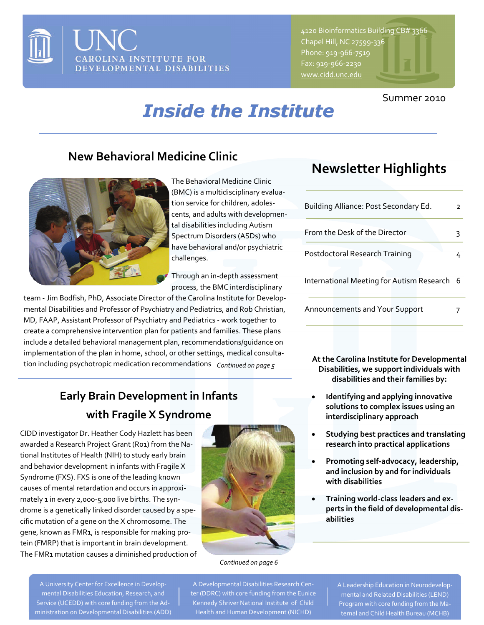

4120 Bioinformatics Building CB# 3366 Chapel Hill, NC 27599‐336 Phone: 919‐966‐7519 Fax: 919‐966‐2230

## Summer 2010

# *Inside the Institute*

# **New Behavioral Medicine Clinic Newsletter Highlights**



The Behavioral Medicine Clinic (BMC) is a multidisciplinary evalua‐ tion service for children, adoles‐ cents, and adults with developmen‐ tal disabilities including Autism Spectrum Disorders (ASDs) who have behavioral and/or psychiatric challenges.

Through an in‐depth assessment process, the BMC interdisciplinary

team ‐ Jim Bodfish, PhD, Associate Director of the Carolina Institute for Develop‐ mental Disabilities and Professor of Psychiatry and Pediatrics, and Rob Christian, MD, FAAP, Assistant Professor of Psychiatry and Pediatrics ‐ work together to create a comprehensive intervention plan for patients and families. These plans include a detailed behavioral management plan, recommendations/guidance on implementation of the plan in home, school, or other settings, medical consultation including psychotropic medication recommendations *Continued on page 5*

# **Early Brain Development in Infants with Fragile X Syndrome**

CIDD investigator Dr. Heather Cody Hazlett has been awarded a Research Project Grant (R01) from the Na‐ tional Institutes of Health (NIH) to study early brain and behavior development in infants with Fragile X Syndrome (FXS). FXS is one of the leading known causes of mental retardation and occurs in approxi‐ mately 1 in every 2,000-5,000 live births. The syndrome is a genetically linked disorder caused by a spe‐ cific mutation of a gene on the X chromosome. The gene, known as FMR1, is responsible for making pro‐ tein (FMRP) that is important in brain development. The FMR1 mutation causes a diminished production of



## *Continued on page 6*

A Developmental Disabilities Research Cen‐ ter (DDRC) with core funding from the Eunice Kennedy Shriver National Institute of Child Health and Human Development (NICHD)

| Building Alliance: Post Secondary Ed.     | 2  |
|-------------------------------------------|----|
| From the Desk of the Director             | ٦  |
| Postdoctoral Research Training            | 4  |
| International Meeting for Autism Research | -6 |
| <b>Announcements and Your Support</b>     |    |

**At the Carolina Institute for Developmental Disabilities, we support individuals with disabilities and their families by:**

- **Identifying and applying innovative solutions to complex issues using an interdisciplinary approach**
- **Studying best practices and translating research into practical applications**
- **Promoting self‐advocacy, leadership, and inclusion by and for individuals with disabilities**
- **Training world‐class leaders and ex‐ perts in the field of developmental dis‐ abilities**

A Leadership Education in Neurodevelop‐ mental and Related Disabilities (LEND) Program with core funding from the Ma‐ ternal and Child Health Bureau (MCHB)

A University Center for Excellence in Develop‐ mental Disabilities Education, Research, and Service (UCEDD) with core funding from the Ad‐ ministration on Developmental Disabilities (ADD)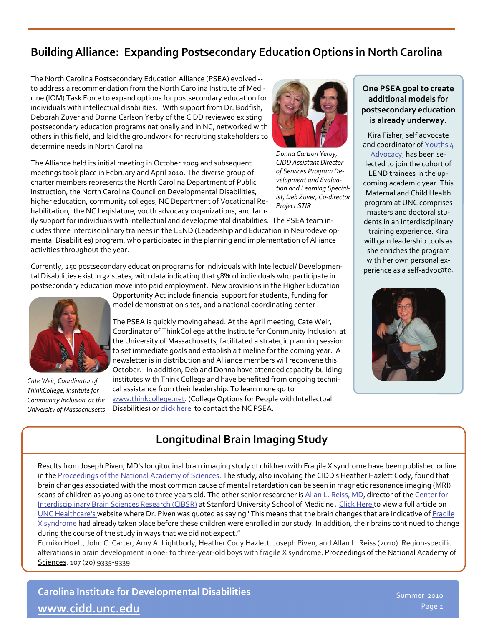## **BuildingAlliance: Expanding Postsecondary Education Options in North Carolina**

The North Carolina Postsecondary Education Alliance (PSEA) evolved ‐‐ to address a recommendation from the North Carolina Institute of Medi‐ cine (IOM) Task Force to expand options for postsecondary education for individuals with intellectual disabilities. With support from Dr. Bodfish, Deborah Zuver and Donna Carlson Yerby of the CIDD reviewed existing postsecondary education programs nationally and in NC, networked with others in this field, and laid the groundwork for recruiting stakeholders to determine needs in North Carolina.

The Alliance held its initial meeting in October 2009 and subsequent meetings took place in February and April 2010. The diverse group of charter members represents the North Carolina Department of Public Instruction, the North Carolina Council on Developmental Disabilities, higher education, community colleges, NC Department of Vocational Re‐ habilitation, the NC Legislature, youth advocacy organizations, and fam‐



*Donna Carlson Yerby, CIDD Assistant Director of Services Program De‐ velopment and Evalua‐ tion and Learning Special‐ ist, Deb Zuver, Co‐director Project STIR*

ily support for individuals with intellectual and developmental disabilities. The PSEA team in‐ cludes three interdisciplinary trainees in the LEND (Leadership and Education in Neurodevelop‐ mental Disabilities) program, who participated in the planning and implementation of Alliance activities throughout the year.

Currently, 250 postsecondary education programs for individuals with Intellectual/ Developmen‐ tal Disabilities exist in 32 states, with data indicating that 58% of individuals who participate in postsecondary education move into paid employment. New provisions in the Higher Education



*Cate Weir, Coordinator of ThinkCollege, Institute for Community Inclusion at the University of Massachusetts* 

Opportunity Act include financial support for students, funding for model demonstration sites, and a national coordinating center .

The PSEA is quickly moving ahead. At the April meeting, Cate Weir, Coordinator of ThinkCollege at the Institute for Community Inclusion at the University of Massachusetts, facilitated a strategic planning session to set immediate goals and establish a timeline for the coming year. A newsletter is in distribution and Alliance members will reconvene this October. In addition, Deb and Donna have attended capacity‐building institutes with Think College and have benefited from ongoing techni‐ cal assistance from their leadership. To learn more go to [www.thinkcollege.net](http://www.thinkcollege.net/). (College Options for People with Intellectual Disabilities) or [click](mailto:deborah.zuver@cdl.unc.edu?subject=PSEA%20Information) here to contact the NC PSEA.

## **One PSEA goal to create additional models for postsecondary education is already underway.**

Kira Fisher, self advocate and coordinator of [Youths](http://www.self-advocate.org/) 4 [Advocacy](http://www.self-advocate.org/), has been se‐ lected to join the cohort of LEND trainees in the up‐ coming academic year. This Maternal and Child Health program at UNC comprises masters and doctoral stu‐ dents in an interdisciplinary training experience. Kira will gain leadership tools as she enriches the program with her own personal experience as a self‐advocate.



# **Longitudinal Brain Imaging Study**

Results from Joseph Piven, MD's longitudinal brain imaging study of children with Fragile X syndrome have been published online in the [Proceedings](http://www.pnas.org/gca?submit=Go&gca=pnas%3B107%2F20%2F9335&allch=) of the National Academy of Sciences. The study, also involving the CIDD's Heather Hazlett Cody, found that brain changes associated with the most common cause of mental retardation can be seen in magnetic resonance imaging (MRI) scans of children as young as one to three years old. The other senior researcher is Allan L. [Reiss,](http://med.stanford.edu/profiles/Allan_Reiss/) MD, director of the [Center](http://spnl.stanford.edu/) for [Interdisciplinary](http://spnl.stanford.edu/) Brain Sciences Research (CIBSR) at Stanford University School of Medicine. Click [Here](http://www.unchealthcare.org/site/newsroom/news/2010/May/fragile-x-pnas) to view a full article on UNC [Healthcare's](http://www.unchealthcare.org/site/newsroom/news/2010/May/fragile-x-pnas) website where Dr. Piven was quoted as saying "This means that the brain changes that are indicative of [Fragile](http://www.nlm.nih.gov/medlineplus/ency/article/001668.htm) X [syndrome](http://www.nlm.nih.gov/medlineplus/ency/article/001668.htm) had already taken place before these children were enrolled in our study. In addition, their brains continued to change during the course of the study in ways that we did not expect."

Fumiko Hoeft, John C. Carter, Amy A. Lightbody, Heather Cody Hazlett, Joseph Piven, and Allan L. Reiss (2010). Region‐specific alterations in brain development in one- to three-year-old boys with fragile X syndrome. Proceedings of the National Academy of Sciences. 107 (20) 9335‐9339.

**Carolina Institute for Developmental Disabilities [www.cidd.unc.edu](http://www.cidd.unc.edu/)**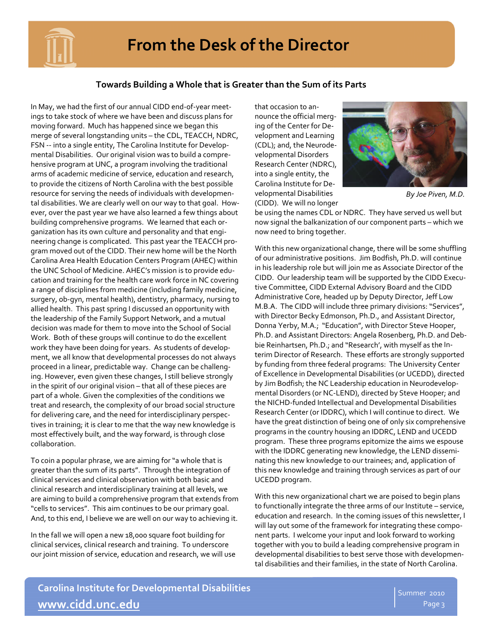

# **From the Desk of the Director**

## **Towards Building a Whole that is Greater than the Sum of its Parts**

In May, we had the first of our annual CIDD end‐of‐year meet‐ ings to take stock of where we have been and discuss plans for moving forward. Much has happened since we began this merge of several longstanding units – the CDL, TEACCH, NDRC, FSN -- into a single entity, The Carolina Institute for Developmental Disabilities. Our original vision was to build a compre‐ hensive program at UNC, a program involving the traditional arms of academic medicine of service, education and research, to provide the citizens of North Carolina with the best possible resource for serving the needs of individuals with developmen‐ tal disabilities. We are clearly well on our way to that goal. How‐ ever, over the past year we have also learned a few things about building comprehensive programs. We learned that each or‐ ganization has its own culture and personality and that engi‐ neering change is complicated. This past year the TEACCH pro‐ gram moved out of the CIDD. Their new home will be the North Carolina Area Health Education Centers Program (AHEC) within the UNC School of Medicine. AHEC's mission is to provide edu‐ cation and training for the health care work force in NC covering a range of disciplines from medicine (including family medicine, surgery, ob‐gyn, mental health), dentistry, pharmacy, nursing to allied health. This past spring I discussed an opportunity with the leadership of the Family Support Network, and a mutual decision was made for them to move into the School of Social Work. Both of these groups will continue to do the excellent work they have been doing for years. As students of develop‐ ment, we all know that developmental processes do not always proceed in a linear, predictable way. Change can be challeng‐ ing. However, even given these changes, I still believe strongly in the spirit of our original vision – that all of these pieces are part of a whole. Given the complexities of the conditions we treat and research, the complexity of our broad social structure for delivering care, and the need for interdisciplinary perspec‐ tives in training; it is clear to me that the way new knowledge is most effectively built, and the way forward, is through close collaboration.

To coin a popular phrase, we are aiming for "a whole that is greater than the sum of its parts". Through the integration of clinical services and clinical observation with both basic and clinical research and interdisciplinary training at all levels, we are aiming to build a comprehensive program that extends from "cells to services". This aim continues to be our primary goal. And, to this end, I believe we are well on our way to achieving it.

In the fall we will open a new 18,000 square foot building for clinical services, clinical research and training. To underscore our joint mission of service, education and research, we will use that occasion to an‐ nounce the official merg‐ ing of the Center for De‐ velopment and Learning (CDL); and, the Neurode‐ velopmental Disorders Research Center (NDRC), into a single entity, the Carolina Institute for De‐ velopmental Disabilities (CIDD). We will no longer



*By Joe Piven, M.D.* 

be using the names CDL or NDRC. They have served us well but now signal the balkanization of our component parts – which we now need to bring together.

With this new organizational change, there will be some shuffling of our administrative positions. Jim Bodfish, Ph.D. will continue in his leadership role but will join me as Associate Director of the CIDD. Our leadership team will be supported by the CIDD Execu‐ tive Committee, CIDD External Advisory Board and the CIDD Administrative Core, headed up by Deputy Director, Jeff Low M.B.A. The CIDD will include three primary divisions: "Services", with Director Becky Edmonson, Ph.D., and Assistant Director, Donna Yerby, M.A.; "Education", with Director Steve Hooper, Ph.D. and Assistant Directors: Angela Rosenberg, Ph.D. and Deb‐ bie Reinhartsen, Ph.D.; and "Research', with myself as the In‐ terim Director of Research. These efforts are strongly supported by funding from three federal programs: The University Center of Excellence in Developmental Disabilities (or UCEDD), directed by Jim Bodfish; the NC Leadership education in Neurodevelop‐ mental Disorders (or NC‐LEND), directed by Steve Hooper; and the NICHD‐funded Intellectual and Developmental Disabilities Research Center (or IDDRC), which I will continue to direct. We have the great distinction of being one of only six comprehensive programs in the country housing an IDDRC, LEND and UCEDD program. These three programs epitomize the aims we espouse with the IDDRC generating new knowledge, the LEND dissemi‐ nating this new knowledge to our trainees; and, application of this new knowledge and training through services as part of our UCEDD program.

With this new organizational chart we are poised to begin plans to functionally integrate the three arms of our Institute – service, education and research. In the coming issues of this newsletter, I will lay out some of the framework for integrating these compo‐ nent parts. I welcome your input and look forward to working together with you to build a leading comprehensive program in developmental disabilities to best serve those with developmen‐ tal disabilities and their families, in the state of North Carolina.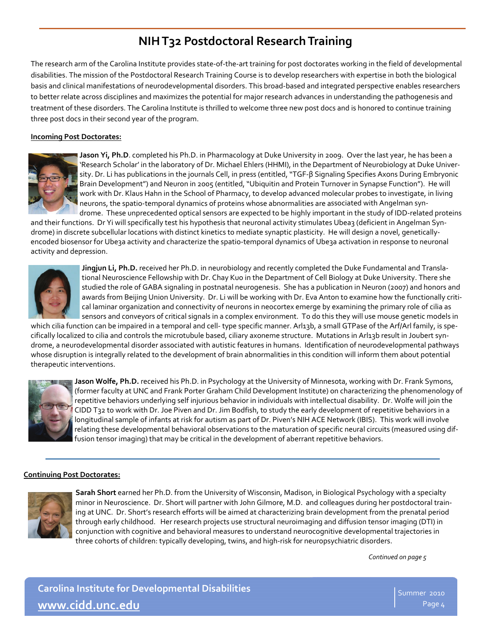# **NIHT32 Postdoctoral ResearchTraining**

The research arm of the Carolina Institute provides state‐of‐the‐art training for post doctorates working in the field of developmental disabilities. The mission of the Postdoctoral Research Training Course is to develop researchers with expertise in both the biological basis and clinical manifestations of neurodevelopmental disorders. This broad‐based and integrated perspective enables researchers to better relate across disciplines and maximizes the potential for major research advances in understanding the pathogenesis and treatment of these disorders. The Carolina Institute is thrilled to welcome three new post docs and is honored to continue training three post docs in their second year of the program.

## **Incoming Post Doctorates:**



**Jason Yi, Ph.D**. completed his Ph.D. in Pharmacology at Duke University in 2009. Over the last year, he has been a 'Research Scholar' in the laboratory of Dr. Michael Ehlers (HHMI), in the Department of Neurobiology at Duke Univer‐ sity. Dr. Li has publications in the journals Cell, in press (entitled, "TGF‐β Signaling Specifies Axons During Embryonic Brain Development") and Neuron in 2005 (entitled, "Ubiquitin and Protein Turnover in Synapse Function"). He will work with Dr. Klaus Hahn in the School of Pharmacy, to develop advanced molecular probes to investigate, in living neurons, the spatio-temporal dynamics of proteins whose abnormalities are associated with Angelman syndrome. These unprecedented optical sensors are expected to be highly important in the study of IDD-related proteins

and their functions. Dr Yi will specifically test his hypothesis that neuronal activity stimulates Ubea3 (deficient in Angelman Syndrome) in discrete subcellular locations with distinct kinetics to mediate synaptic plasticity. He will design a novel, geneticallyencoded biosensor for Ube3a activity and characterize the spatio-temporal dynamics of Ube3a activation in response to neuronal activity and depression.



**Jingjun Li, Ph.D.** received her Ph.D. in neurobiology and recently completed the Duke Fundamental and Transla‐ tional Neuroscience Fellowship with Dr. Chay Kuo in the Department of Cell Biology at Duke University. There she studied the role of GABA signaling in postnatal neurogenesis. She has a publication in Neuron (2007) and honors and awards from Beijing Union University. Dr. Li will be working with Dr. Eva Anton to examine how the functionally criti‐ cal laminar organization and connectivity of neurons in neocortex emerge by examining the primary role of cilia as sensors and conveyors of critical signals in a complex environment. To do this they will use mouse genetic models in

which cilia function can be impaired in a temporal and cell-type specific manner. Arl13b, a small GTPase of the Arf/Arl family, is specifically localized to cilia and controls the microtubule based, ciliary axoneme structure. Mutations in Arl13b result in Joubert syndrome, a neurodevelopmental disorder associated with autistic features in humans. Identification of neurodevelopmental pathways whose disruption is integrally related to the development of brain abnormalities in this condition will inform them about potential therapeutic interventions.



**Jason Wolfe, Ph.D.** received his Ph.D. in Psychology at the University of Minnesota, working with Dr. Frank Symons, (former faculty at UNC and Frank Porter Graham Child Development Institute) on characterizing the phenomenology of repetitive behaviors underlying self injurious behavior in individuals with intellectual disability. Dr. Wolfe will join the CIDD T32 to work with Dr. Joe Piven and Dr. Jim Bodfish, to study the early development of repetitive behaviors in a longitudinal sample of infants at risk for autism as part of Dr. Piven's NIH ACE Network (IBIS). This work will involve relating these developmental behavioral observations to the maturation of specific neural circuits (measured using dif‐ fusion tensor imaging) that may be critical in the development of aberrant repetitive behaviors.

### **Continuing Post Doctorates:**



**Sarah Short** earned her Ph.D. from the University of Wisconsin, Madison, in Biological Psychology with a specialty minor in Neuroscience. Dr. Short will partner with John Gilmore, M.D. and colleagues during her postdoctoral train‐ ing at UNC. Dr. Short's research efforts will be aimed at characterizing brain development from the prenatal period through early childhood. Her research projects use structural neuroimaging and diffusion tensor imaging (DTI) in conjunction with cognitive and behavioral measures to understand neurocognitive developmental trajectories in three cohorts of children: typically developing, twins, and high‐risk for neuropsychiatric disorders.

*Continued on page 5*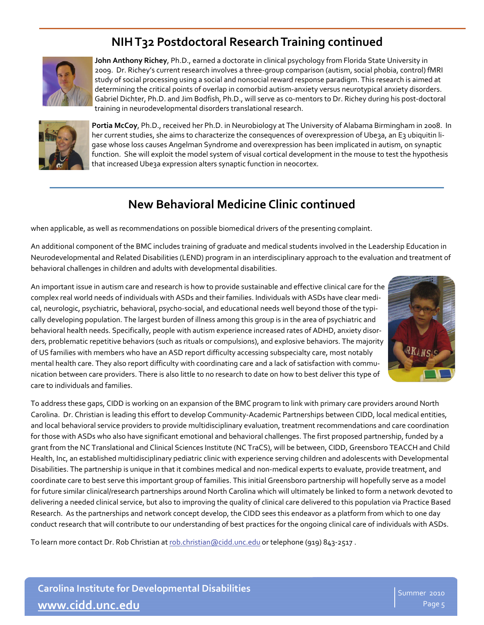# **NIHT32 Postdoctoral ResearchTraining continued**



**John Anthony Richey**, Ph.D., earned a doctorate in clinical psychology from Florida State University in 2009. Dr. Richey's current research involves a three‐group comparison (autism, social phobia, control) fMRI study of social processing using a social and nonsocial reward response paradigm. This research is aimed at determining the critical points of overlap in comorbid autism‐anxiety versus neurotypical anxiety disorders. Gabriel Dichter, Ph.D. and Jim Bodfish, Ph.D., will serve as co‐mentors to Dr. Richey during his post‐doctoral training in neurodevelopmental disorders translational research.



**Portia McCoy**, Ph.D., received her Ph.D. in Neurobiology at The University of Alabama Birmingham in 2008. In her current studies, she aims to characterize the consequences of overexpression of Ube3a, an E3 ubiquitin ligase whose loss causes Angelman Syndrome and overexpression has been implicated in autism, on synaptic function. She will exploit the model system of visual cortical development in the mouse to test the hypothesis that increased Ube3a expression alters synaptic function in neocortex.

# **New Behavioral Medicine Clinic continued**

when applicable, as well as recommendations on possible biomedical drivers of the presenting complaint.

An additional component of the BMC includes training of graduate and medical students involved in the Leadership Education in Neurodevelopmental and Related Disabilities (LEND) program in an interdisciplinary approach to the evaluation and treatment of behavioral challenges in children and adults with developmental disabilities.

An important issue in autism care and research is how to provide sustainable and effective clinical care for the complex real world needs of individuals with ASDs and their families. Individuals with ASDs have clear medi‐ cal, neurologic, psychiatric, behavioral, psycho-social, and educational needs well beyond those of the typically developing population. The largest burden of illness among this group is in the area of psychiatric and behavioral health needs. Specifically, people with autism experience increased rates of ADHD, anxiety disor‐ ders, problematic repetitive behaviors (such as rituals or compulsions), and explosive behaviors. The majority of US families with members who have an ASD report difficulty accessing subspecialty care, most notably mental health care. They also report difficulty with coordinating care and a lack of satisfaction with communication between care providers. There is also little to no research to date on how to best deliver this type of care to individuals and families.



To address these gaps, CIDD is working on an expansion of the BMC program to link with primary care providers around North Carolina. Dr. Christian is leading this effort to develop Community‐Academic Partnerships between CIDD, local medical entities, and local behavioral service providers to provide multidisciplinary evaluation, treatment recommendations and care coordination for those with ASDs who also have significant emotional and behavioral challenges. The first proposed partnership, funded by a grant from the NC Translational and Clinical Sciences Institute (NC TraCS), will be between, CIDD, Greensboro TEACCH and Child Health, Inc, an established multidisciplinary pediatric clinic with experience serving children and adolescents with Developmental Disabilities. The partnership is unique in that it combines medical and non-medical experts to evaluate, provide treatment, and coordinate care to best serve this important group of families. This initial Greensboro partnership will hopefully serve as a model for future similar clinical/research partnerships around North Carolina which will ultimately be linked to form a network devoted to delivering a needed clinical service, but also to improving the quality of clinical care delivered to this population via Practice Based Research. As the partnerships and network concept develop, the CIDD sees this endeavor as a platform from which to one day conduct research that will contribute to our understanding of best practices for the ongoing clinical care of individuals with ASDs.

To learn more contact Dr. Rob Christian at [rob.christian@cidd.unc.edu](mailto:rob.christian@cidd.unc.edu) or telephone (919) 843-2517 .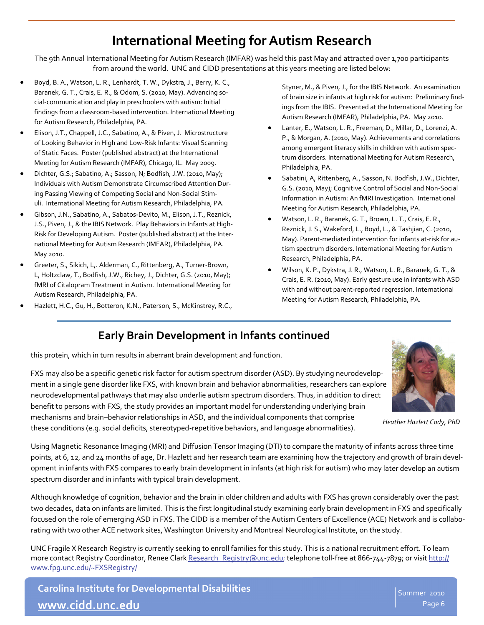# **International Meeting forAutism Research**

The 9th Annual International Meeting for Autism Research (IMFAR) was held this past May and attracted over 1,700 participants from around the world. UNC and CIDD presentations at this years meeting are listed below:

- Boyd, B. A., Watson, L. R., Lenhardt, T. W., Dykstra, J., Berry, K. C., Baranek, G. T., Crais, E. R., & Odom, S. (2010, May). Advancing social‐communication and play in preschoolers with autism: Initial findings from a classroom‐based intervention. International Meeting for Autism Research, Philadelphia, PA.
- Elison, J.T., Chappell, J.C., Sabatino, A., & Piven, J. Microstructure of Looking Behavior in High and Low‐Risk Infants: Visual Scanning of Static Faces. Poster (published abstract) at the International Meeting for Autism Research (IMFAR), Chicago, IL. May 2009.
- Dichter, G.S.; Sabatino, A.; Sasson, N; Bodfish, J.W. (2010, May); Individuals with Autism Demonstrate Circumscribed Attention Dur‐ ing Passing Viewing of Competing Social and Non‐Social Stim‐ uli. International Meeting for Autism Research, Philadelphia, PA.
- Gibson, J.N., Sabatino, A., Sabatos‐Devito, M., Elison, J.T., Reznick, J.S., Piven, J., & the IBIS Network. Play Behaviors in Infants at High‐ Risk for Developing Autism. Poster (published abstract) at the Inter‐ national Meeting for Autism Research (IMFAR), Philadelphia, PA. May 2010.
- Greeter, S., Sikich, L,. Alderman, C., Rittenberg, A., Turner‐Brown, L, Holtzclaw, T., Bodfish, J.W., Richey, J., Dichter, G.S. (2010, May); fMRI of Citalopram Treatment in Autism. International Meeting for Autism Research, Philadelphia, PA.
- Hazlett, H.C., Gu, H., Botteron, K.N., Paterson, S., McKinstrey, R.C.,

Styner, M., & Piven, J., for the IBIS Network. An examination of brain size in infants at high risk for autism: Preliminary find‐ ings from the IBIS. Presented at the International Meeting for Autism Research (IMFAR), Philadelphia, PA. May 2010.

- Lanter, E., Watson, L. R., Freeman, D., Millar, D., Lorenzi, A. P., & Morgan, A. (2010, May). Achievements and correlations among emergent literacy skills in children with autism spec‐ trum disorders. International Meeting for Autism Research, Philadelphia, PA.
- Sabatini, A, Rittenberg, A., Sasson, N. Bodfish, J.W., Dichter, G.S. (2010, May); Cognitive Control of Social and Non‐Social Information in Autism: An fMRI Investigation. International Meeting for Autism Research, Philadelphia, PA.
- Watson, L. R., Baranek, G. T., Brown, L. T., Crais, E. R., Reznick, J. S., Wakeford, L., Boyd, L., & Tashjian, C. (2010, May). Parent-mediated intervention for infants at-risk for autism spectrum disorders. International Meeting for Autism Research, Philadelphia, PA.
- Wilson, K. P., Dykstra, J. R., Watson, L. R., Baranek, G. T., & Crais, E. R. (2010, May). Early gesture use in infants with ASD with and without parent‐reported regression. International Meeting for Autism Research, Philadelphia, PA.

# **Early Brain Development in Infants continued**

this protein, which in turn results in aberrant brain development and function.

*Heather Hazlett Cody, PhD*

FXS may also be a specific genetic risk factor for autism spectrum disorder (ASD). By studying neurodevelop‐ ment in a single gene disorder like FXS, with known brain and behavior abnormalities, researchers can explore neurodevelopmental pathways that may also underlie autism spectrum disorders. Thus, in addition to direct benefit to persons with FXS, the study provides an important model for understanding underlying brain mechanisms and brain–behavior relationships in ASD, and the individual components that comprise these conditions (e.g. social deficits, stereotyped‐repetitive behaviors, and language abnormalities).

Using Magnetic Resonance Imaging (MRI) and Diffusion Tensor Imaging (DTI) to compare the maturity of infants across three time points, at 6, 12, and 24 months of age, Dr. Hazlett and her research team are examining how the trajectory and growth of brain development in infants with FXS compares to early brain development in infants (at high risk for autism) who may later develop an autism spectrum disorder and in infants with typical brain development.

Although knowledge of cognition, behavior and the brain in older children and adults with FXS has grown considerably over the past two decades, data on infants are limited. This is the first longitudinal study examining early brain development in FXS and specifically focused on the role of emerging ASD in FXS. The CIDD is a member of the Autism Centers of Excellence (ACE) Network and is collabo‐ rating with two other ACE network sites, Washington University and Montreal Neurological Institute, on the study.

UNC Fragile X Research Registry is currently seeking to enroll families for this study. This is a national recruitment effort. To learn more contact Registry Coordinator, Renee Clark [Research\\_Registry@unc.edu](mailto:Research_Registry@unc.edu); telephone toll-free at 866-744-7879; or visit [http://](http://www.fpg.unc.edu/~FXSRegistry/) [www.fpg.unc.edu/~FXSRegistry/](http://www.fpg.unc.edu/~FXSRegistry/)

**Carolina Institute for Developmental Disabilities [www.cidd.unc.edu](http://www.cidd.unc.edu/)**